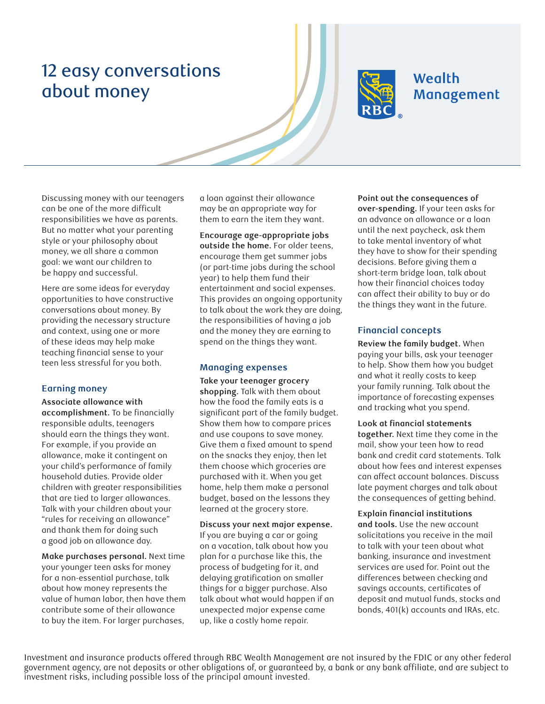# 12 easy conversations about money



# **Wealth** Management

Discussing money with our teenagers can be one of the more difficult responsibilities we have as parents. But no matter what your parenting style or your philosophy about money, we all share a common goal: we want our children to be happy and successful.

Here are some ideas for everyday opportunities to have constructive conversations about money. By providing the necessary structure and context, using one or more of these ideas may help make teaching financial sense to your teen less stressful for you both.

## **Earning money**

**Associate allowance with accomplishment.** To be financially responsible adults, teenagers should earn the things they want. For example, if you provide an allowance, make it contingent on your child's performance of family household duties. Provide older children with greater responsibilities that are tied to larger allowances. Talk with your children about your "rules for receiving an allowance" and thank them for doing such a good job on allowance day.

**Make purchases personal.** Next time your younger teen asks for money for a non-essential purchase, talk about how money represents the value of human labor, then have them contribute some of their allowance to buy the item. For larger purchases,

a loan against their allowance may be an appropriate way for them to earn the item they want.

**Encourage age-appropriate jobs outside the home.** For older teens, encourage them get summer jobs (or part-time jobs during the school year) to help them fund their entertainment and social expenses. This provides an ongoing opportunity to talk about the work they are doing, the responsibilities of having a job and the money they are earning to spend on the things they want.

## **Managing expenses**

**Take your teenager grocery shopping.** Talk with them about how the food the family eats is a significant part of the family budget. Show them how to compare prices and use coupons to save money. Give them a fixed amount to spend on the snacks they enjoy, then let them choose which groceries are purchased with it. When you get home, help them make a personal budget, based on the lessons they learned at the grocery store.

**Discuss your next major expense.** If you are buying a car or going on a vacation, talk about how you plan for a purchase like this, the process of budgeting for it, and delaying gratification on smaller things for a bigger purchase. Also talk about what would happen if an unexpected major expense came up, like a costly home repair.

**Point out the consequences of over-spending.** If your teen asks for an advance on allowance or a loan until the next paycheck, ask them to take mental inventory of what they have to show for their spending decisions. Before giving them a short-term bridge loan, talk about how their financial choices today can affect their ability to buy or do the things they want in the future.

# **Financial concepts**

**Review the family budget.** When paying your bills, ask your teenager to help. Show them how you budget and what it really costs to keep your family running. Talk about the importance of forecasting expenses and tracking what you spend.

**Look at financial statements together.** Next time they come in the mail, show your teen how to read bank and credit card statements. Talk about how fees and interest expenses can affect account balances. Discuss late payment charges and talk about the consequences of getting behind.

**Explain financial institutions and tools.** Use the new account solicitations you receive in the mail to talk with your teen about what banking, insurance and investment services are used for. Point out the differences between checking and savings accounts, certificates of deposit and mutual funds, stocks and bonds, 401(k) accounts and IRAs, etc.

Investment and insurance products offered through RBC Wealth Management are not insured by the FDIC or any other federal government agency, are not deposits or other obligations of, or guaranteed by, a bank or any bank affiliate, and are subject to investment risks, including possible loss of the principal amount invested.